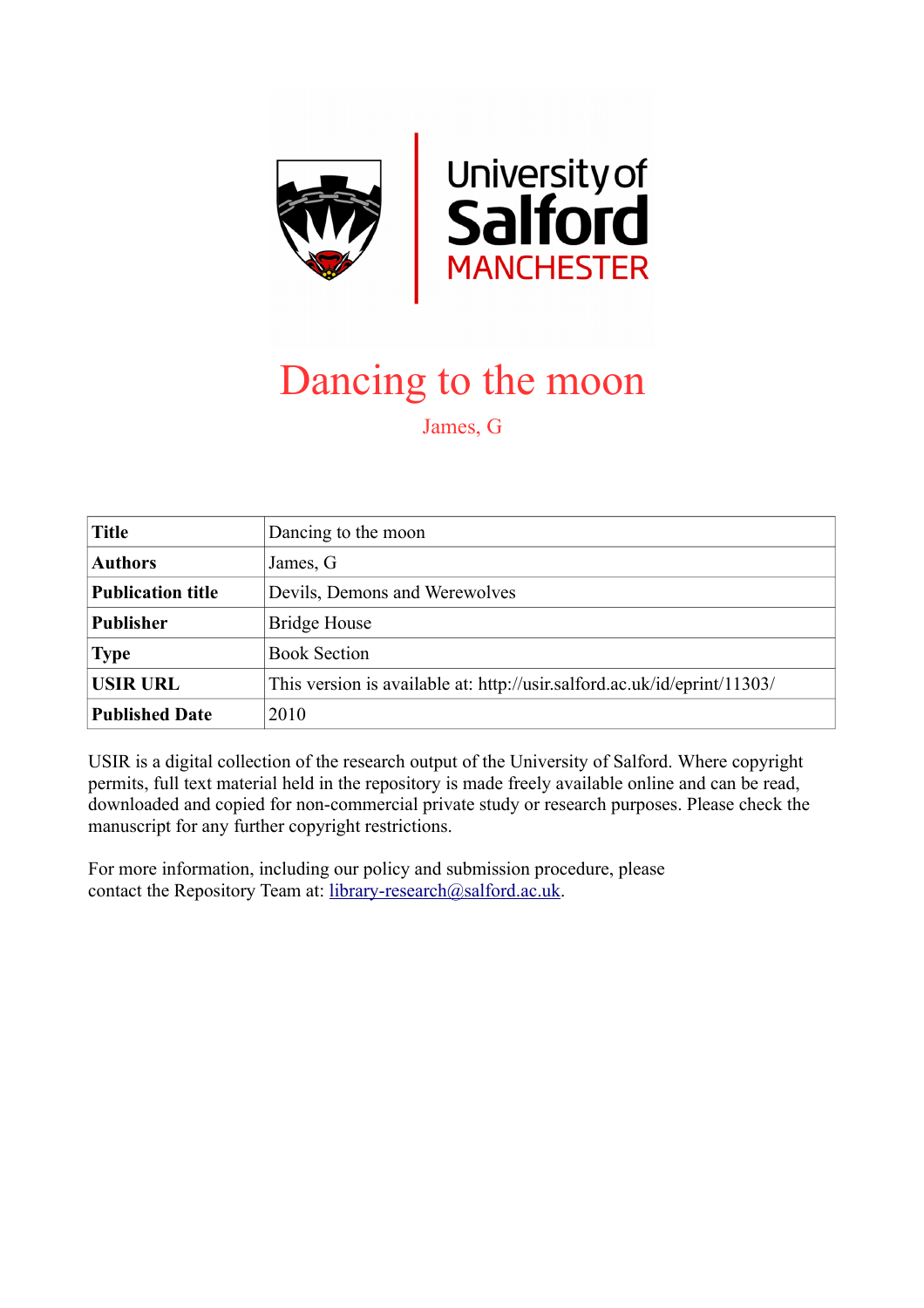

## Dancing to the moon

James, G

| <b>Title</b>             | Dancing to the moon                                                      |
|--------------------------|--------------------------------------------------------------------------|
| <b>Authors</b>           | James, G                                                                 |
| <b>Publication title</b> | Devils, Demons and Werewolves                                            |
| <b>Publisher</b>         | Bridge House                                                             |
| <b>Type</b>              | <b>Book Section</b>                                                      |
| <b>USIR URL</b>          | This version is available at: http://usir.salford.ac.uk/id/eprint/11303/ |
| <b>Published Date</b>    | 2010                                                                     |

USIR is a digital collection of the research output of the University of Salford. Where copyright permits, full text material held in the repository is made freely available online and can be read, downloaded and copied for non-commercial private study or research purposes. Please check the manuscript for any further copyright restrictions.

For more information, including our policy and submission procedure, please contact the Repository Team at: [library-research@salford.ac.uk.](mailto:library-research@salford.ac.uk)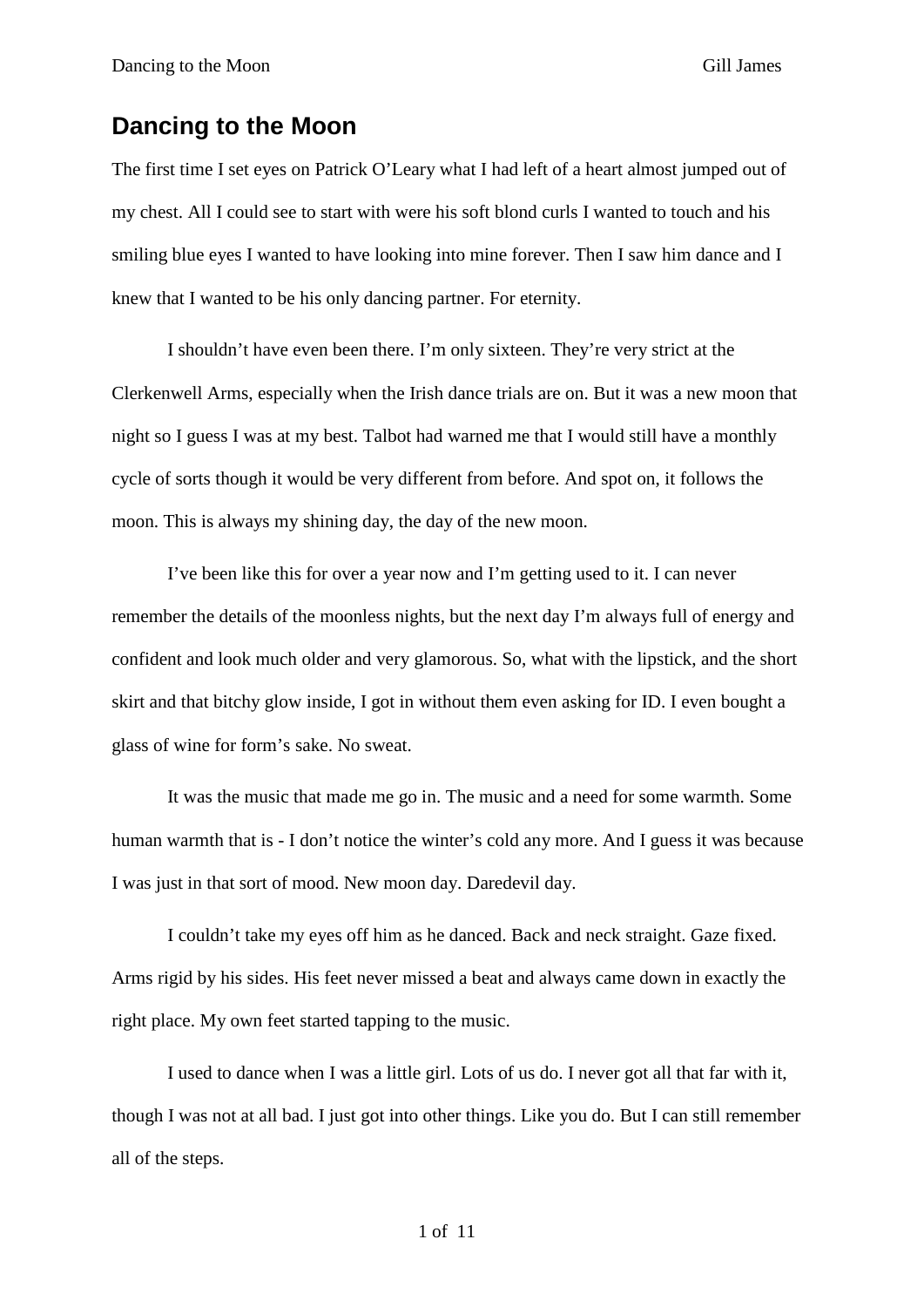## **Dancing to the Moon**

The first time I set eyes on Patrick O'Leary what I had left of a heart almost jumped out of my chest. All I could see to start with were his soft blond curls I wanted to touch and his smiling blue eyes I wanted to have looking into mine forever. Then I saw him dance and I knew that I wanted to be his only dancing partner. For eternity.

I shouldn't have even been there. I'm only sixteen. They're very strict at the Clerkenwell Arms, especially when the Irish dance trials are on. But it was a new moon that night so I guess I was at my best. Talbot had warned me that I would still have a monthly cycle of sorts though it would be very different from before. And spot on, it follows the moon. This is always my shining day, the day of the new moon.

I've been like this for over a year now and I'm getting used to it. I can never remember the details of the moonless nights, but the next day I'm always full of energy and confident and look much older and very glamorous. So, what with the lipstick, and the short skirt and that bitchy glow inside, I got in without them even asking for ID. I even bought a glass of wine for form's sake. No sweat.

It was the music that made me go in. The music and a need for some warmth. Some human warmth that is - I don't notice the winter's cold any more. And I guess it was because I was just in that sort of mood. New moon day. Daredevil day.

I couldn't take my eyes off him as he danced. Back and neck straight. Gaze fixed. Arms rigid by his sides. His feet never missed a beat and always came down in exactly the right place. My own feet started tapping to the music.

I used to dance when I was a little girl. Lots of us do. I never got all that far with it, though I was not at all bad. I just got into other things. Like you do. But I can still remember all of the steps.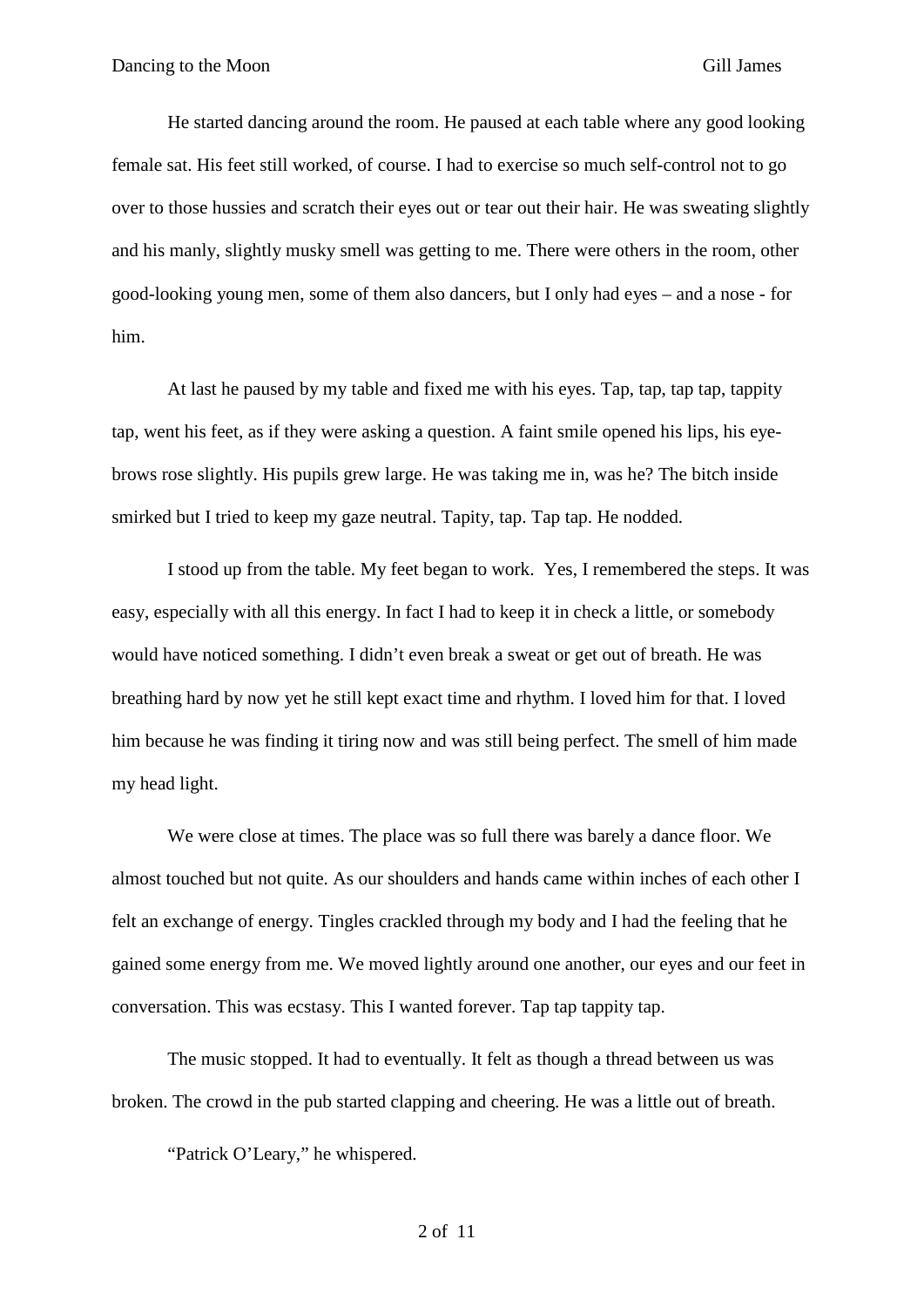He started dancing around the room. He paused at each table where any good looking female sat. His feet still worked, of course. I had to exercise so much self-control not to go over to those hussies and scratch their eyes out or tear out their hair. He was sweating slightly and his manly, slightly musky smell was getting to me. There were others in the room, other good-looking young men, some of them also dancers, but I only had eyes – and a nose - for him.

At last he paused by my table and fixed me with his eyes. Tap, tap, tap tap, tappity tap, went his feet, as if they were asking a question. A faint smile opened his lips, his eyebrows rose slightly. His pupils grew large. He was taking me in, was he? The bitch inside smirked but I tried to keep my gaze neutral. Tapity, tap. Tap tap. He nodded.

I stood up from the table. My feet began to work. Yes, I remembered the steps. It was easy, especially with all this energy. In fact I had to keep it in check a little, or somebody would have noticed something. I didn't even break a sweat or get out of breath. He was breathing hard by now yet he still kept exact time and rhythm. I loved him for that. I loved him because he was finding it tiring now and was still being perfect. The smell of him made my head light.

We were close at times. The place was so full there was barely a dance floor. We almost touched but not quite. As our shoulders and hands came within inches of each other I felt an exchange of energy. Tingles crackled through my body and I had the feeling that he gained some energy from me. We moved lightly around one another, our eyes and our feet in conversation. This was ecstasy. This I wanted forever. Tap tap tappity tap.

The music stopped. It had to eventually. It felt as though a thread between us was broken. The crowd in the pub started clapping and cheering. He was a little out of breath.

"Patrick O'Leary," he whispered.

2 of 11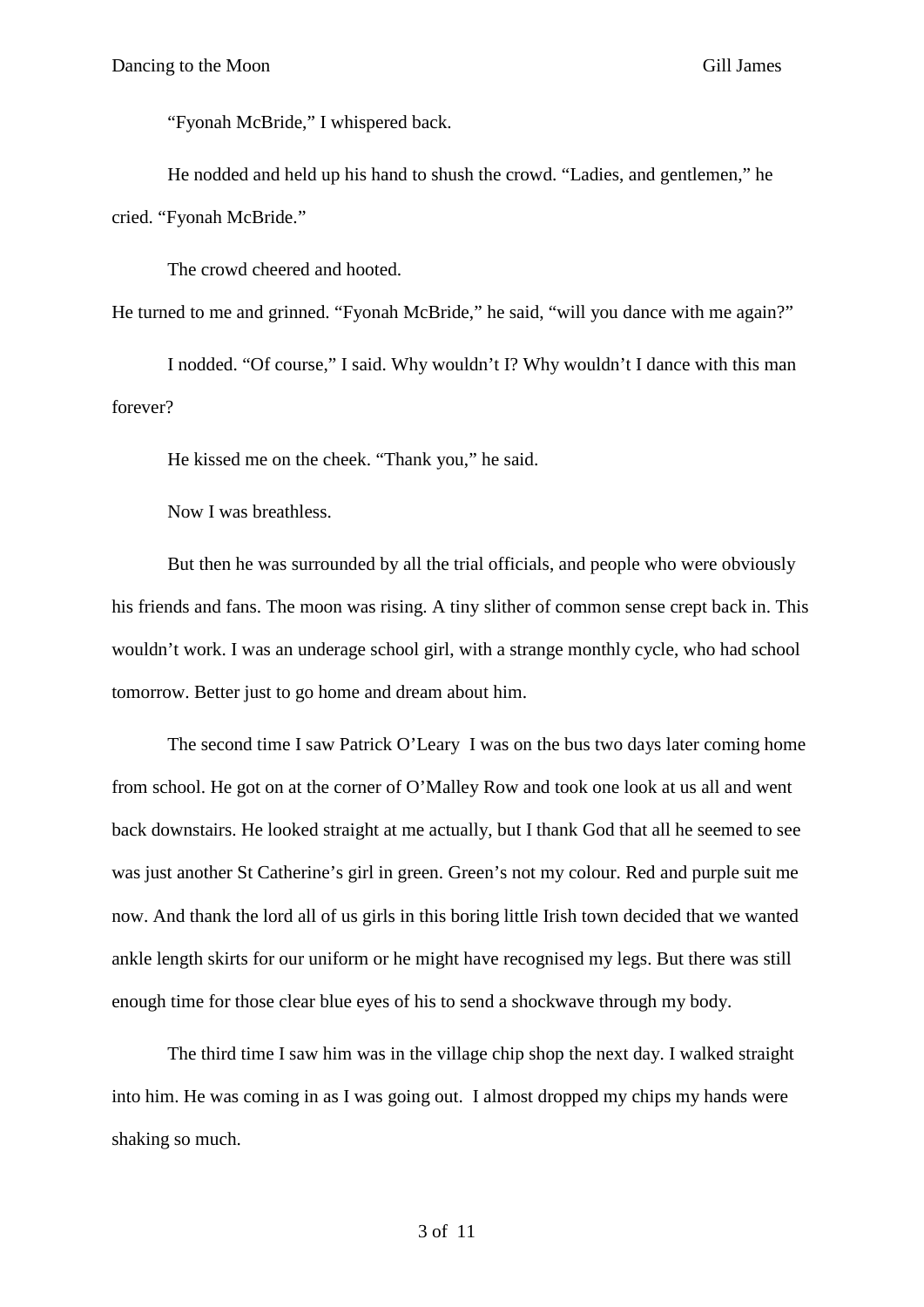"Fyonah McBride," I whispered back.

He nodded and held up his hand to shush the crowd. "Ladies, and gentlemen," he cried. "Fyonah McBride."

The crowd cheered and hooted.

He turned to me and grinned. "Fyonah McBride," he said, "will you dance with me again?"

I nodded. "Of course," I said. Why wouldn't I? Why wouldn't I dance with this man forever?

He kissed me on the cheek. "Thank you," he said.

Now I was breathless.

But then he was surrounded by all the trial officials, and people who were obviously his friends and fans. The moon was rising. A tiny slither of common sense crept back in. This wouldn't work. I was an underage school girl, with a strange monthly cycle, who had school tomorrow. Better just to go home and dream about him.

The second time I saw Patrick O'Leary I was on the bus two days later coming home from school. He got on at the corner of O'Malley Row and took one look at us all and went back downstairs. He looked straight at me actually, but I thank God that all he seemed to see was just another St Catherine's girl in green. Green's not my colour. Red and purple suit me now. And thank the lord all of us girls in this boring little Irish town decided that we wanted ankle length skirts for our uniform or he might have recognised my legs. But there was still enough time for those clear blue eyes of his to send a shockwave through my body.

The third time I saw him was in the village chip shop the next day. I walked straight into him. He was coming in as I was going out. I almost dropped my chips my hands were shaking so much.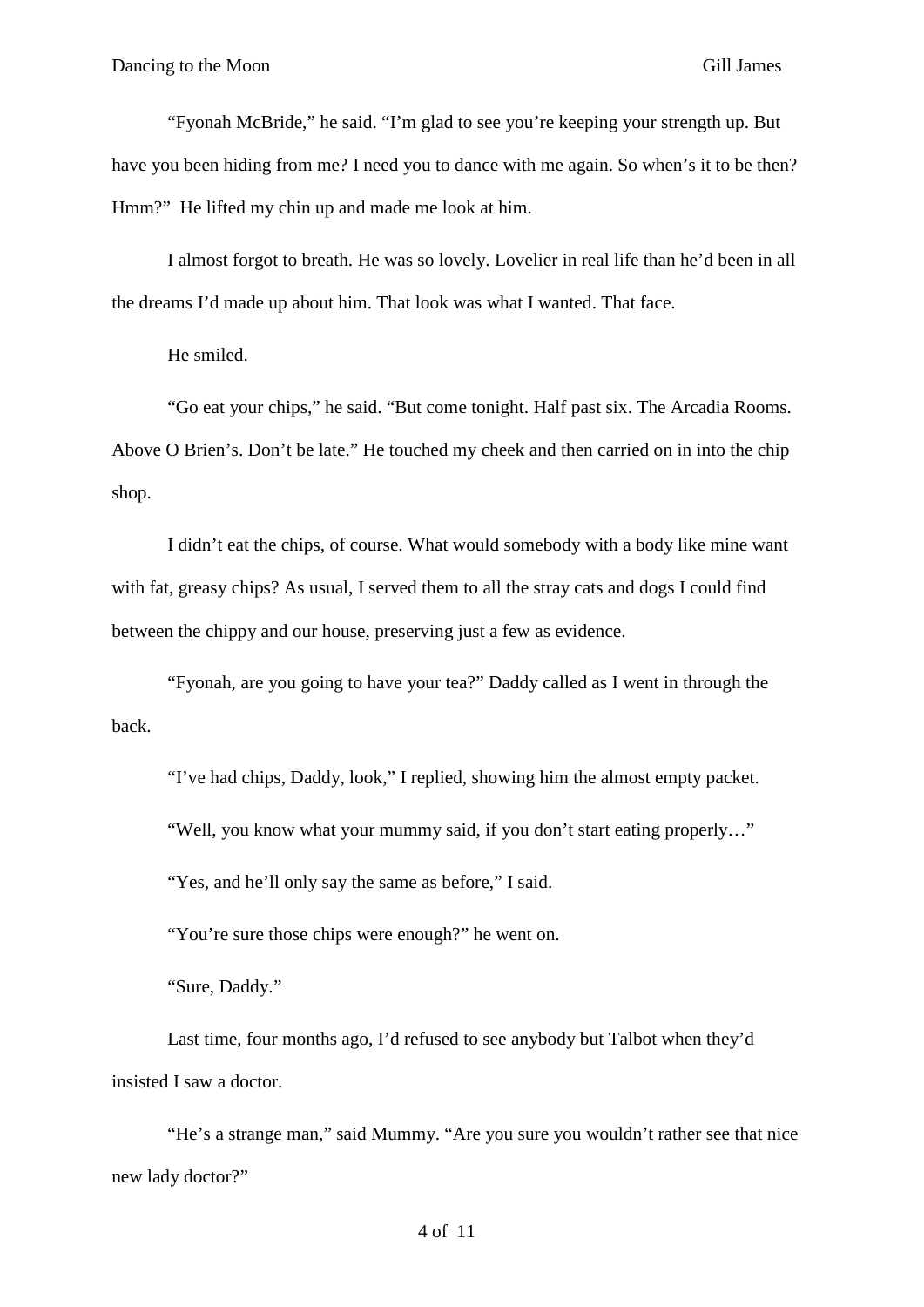"Fyonah McBride," he said. "I'm glad to see you're keeping your strength up. But have you been hiding from me? I need you to dance with me again. So when's it to be then? Hmm?" He lifted my chin up and made me look at him.

I almost forgot to breath. He was so lovely. Lovelier in real life than he'd been in all the dreams I'd made up about him. That look was what I wanted. That face.

He smiled.

"Go eat your chips," he said. "But come tonight. Half past six. The Arcadia Rooms. Above O Brien's. Don't be late." He touched my cheek and then carried on in into the chip shop.

I didn't eat the chips, of course. What would somebody with a body like mine want with fat, greasy chips? As usual, I served them to all the stray cats and dogs I could find between the chippy and our house, preserving just a few as evidence.

"Fyonah, are you going to have your tea?" Daddy called as I went in through the back.

"I've had chips, Daddy, look," I replied, showing him the almost empty packet.

"Well, you know what your mummy said, if you don't start eating properly…"

"Yes, and he'll only say the same as before," I said.

"You're sure those chips were enough?" he went on.

"Sure, Daddy."

Last time, four months ago, I'd refused to see anybody but Talbot when they'd insisted I saw a doctor.

"He's a strange man," said Mummy. "Are you sure you wouldn't rather see that nice new lady doctor?"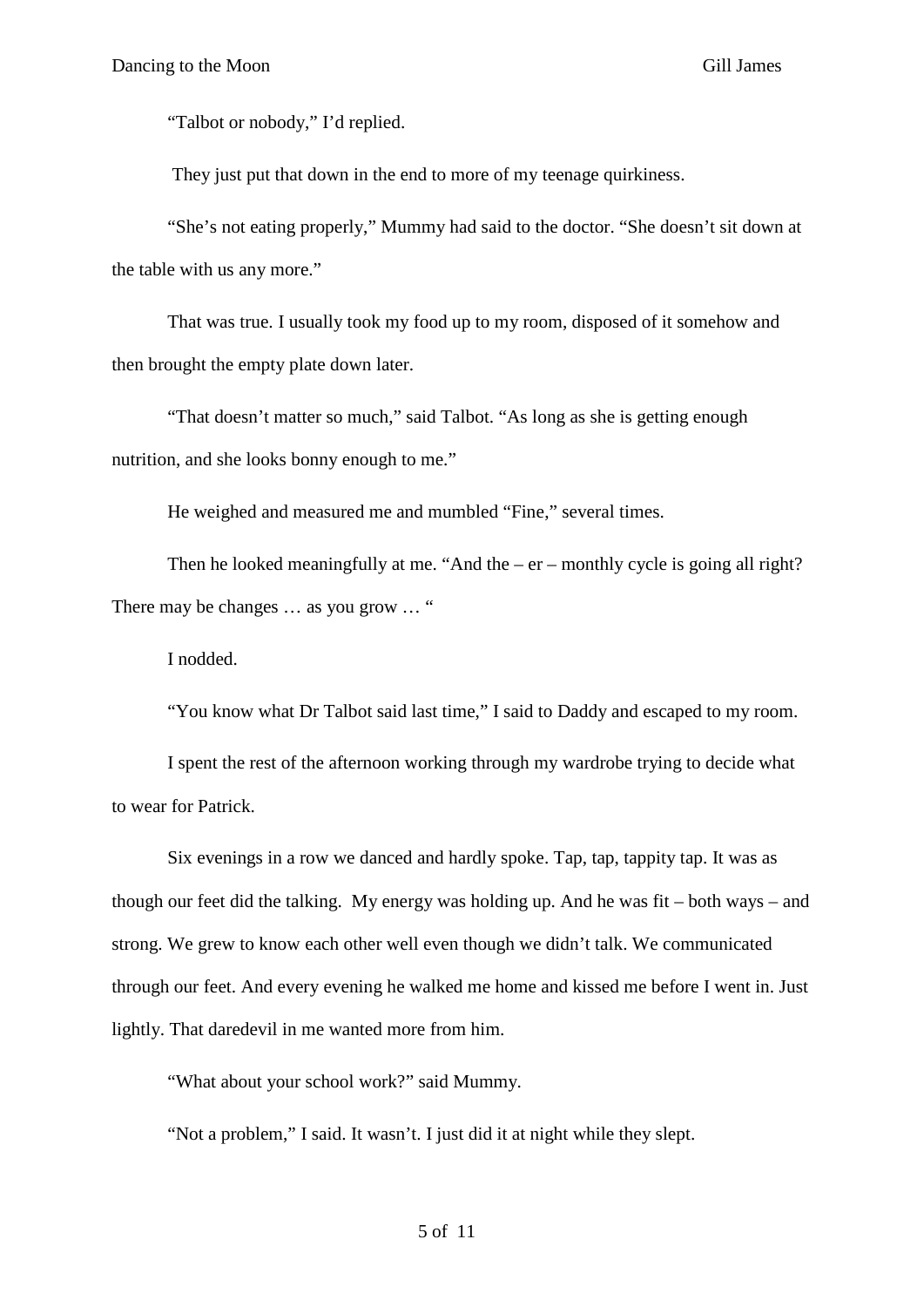"Talbot or nobody," I'd replied.

They just put that down in the end to more of my teenage quirkiness.

"She's not eating properly," Mummy had said to the doctor. "She doesn't sit down at the table with us any more."

That was true. I usually took my food up to my room, disposed of it somehow and then brought the empty plate down later.

"That doesn't matter so much," said Talbot. "As long as she is getting enough nutrition, and she looks bonny enough to me."

He weighed and measured me and mumbled "Fine," several times.

Then he looked meaningfully at me. "And the – er – monthly cycle is going all right? There may be changes ... as you grow ... "

I nodded.

"You know what Dr Talbot said last time," I said to Daddy and escaped to my room.

I spent the rest of the afternoon working through my wardrobe trying to decide what to wear for Patrick.

Six evenings in a row we danced and hardly spoke. Tap, tap, tappity tap. It was as though our feet did the talking. My energy was holding up. And he was fit – both ways – and strong. We grew to know each other well even though we didn't talk. We communicated through our feet. And every evening he walked me home and kissed me before I went in. Just lightly. That daredevil in me wanted more from him.

"What about your school work?" said Mummy.

"Not a problem," I said. It wasn't. I just did it at night while they slept.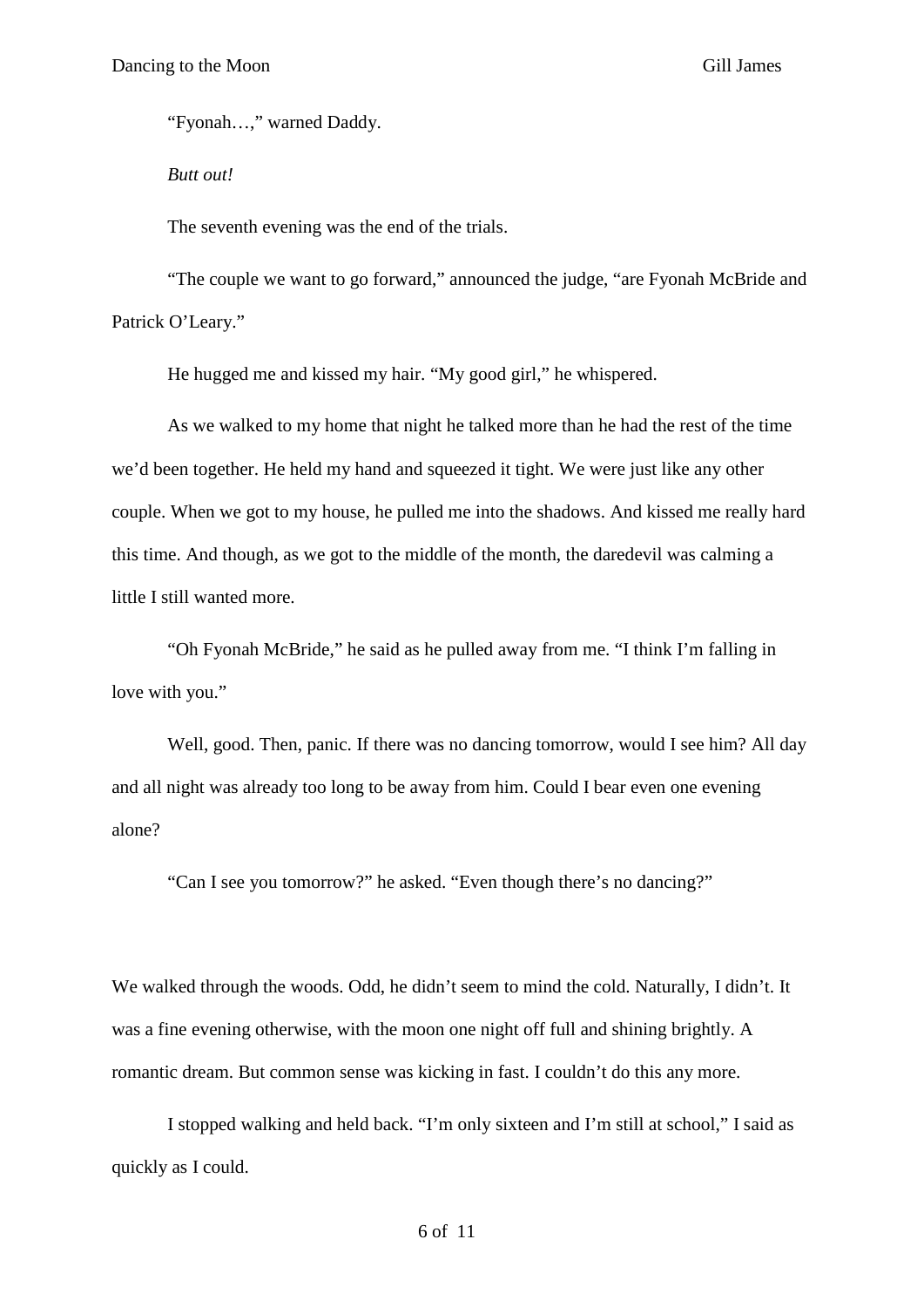"Fyonah…," warned Daddy.

*Butt out!*

The seventh evening was the end of the trials.

"The couple we want to go forward," announced the judge, "are Fyonah McBride and Patrick O'Leary."

He hugged me and kissed my hair. "My good girl," he whispered.

As we walked to my home that night he talked more than he had the rest of the time we'd been together. He held my hand and squeezed it tight. We were just like any other couple. When we got to my house, he pulled me into the shadows. And kissed me really hard this time. And though, as we got to the middle of the month, the daredevil was calming a little I still wanted more.

"Oh Fyonah McBride," he said as he pulled away from me. "I think I'm falling in love with you."

Well, good. Then, panic. If there was no dancing tomorrow, would I see him? All day and all night was already too long to be away from him. Could I bear even one evening alone?

"Can I see you tomorrow?" he asked. "Even though there's no dancing?"

We walked through the woods. Odd, he didn't seem to mind the cold. Naturally, I didn't. It was a fine evening otherwise, with the moon one night off full and shining brightly. A romantic dream. But common sense was kicking in fast. I couldn't do this any more.

I stopped walking and held back. "I'm only sixteen and I'm still at school," I said as quickly as I could.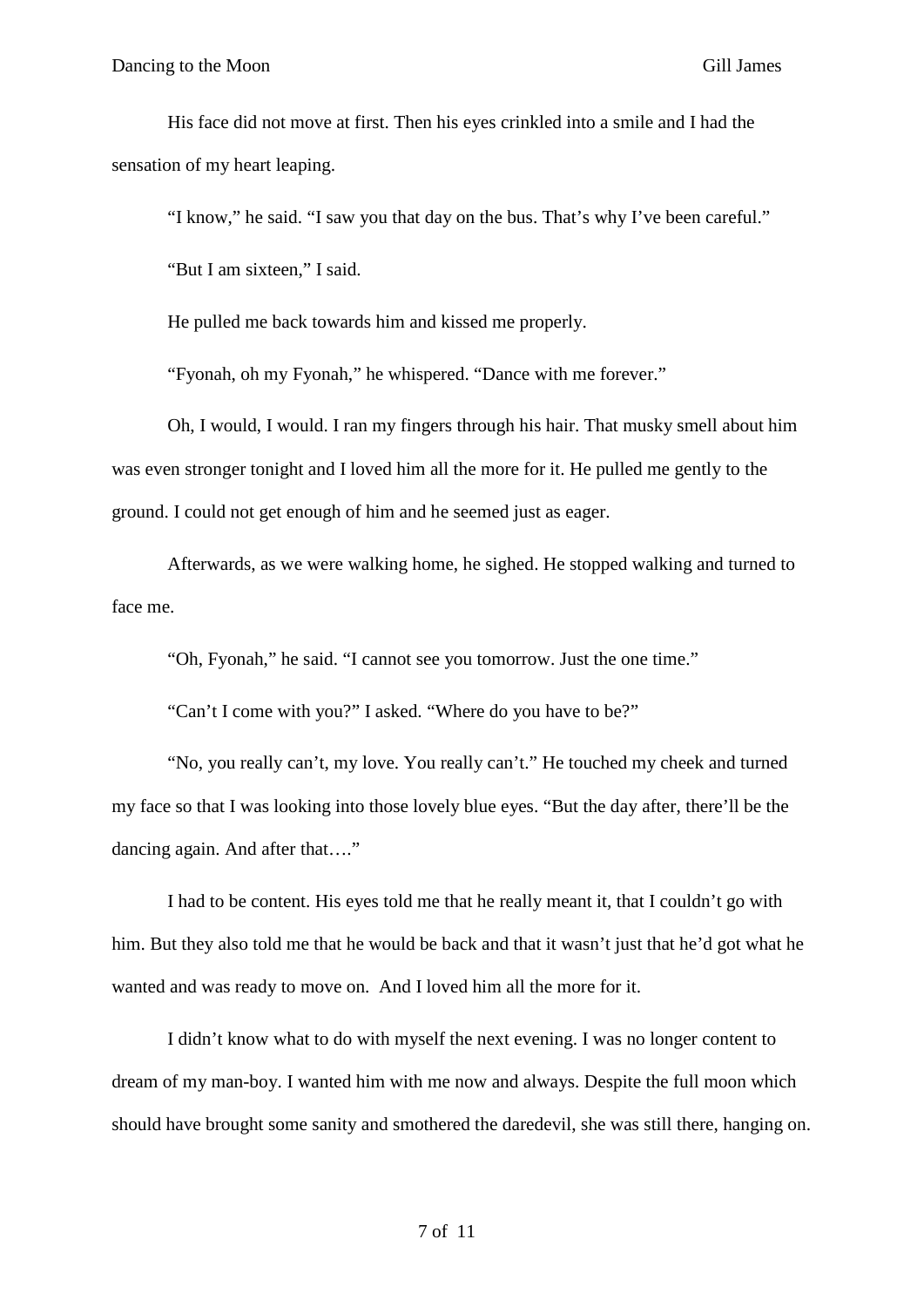His face did not move at first. Then his eyes crinkled into a smile and I had the sensation of my heart leaping.

"I know," he said. "I saw you that day on the bus. That's why I've been careful."

"But I am sixteen," I said.

He pulled me back towards him and kissed me properly.

"Fyonah, oh my Fyonah," he whispered. "Dance with me forever."

Oh, I would, I would. I ran my fingers through his hair. That musky smell about him was even stronger tonight and I loved him all the more for it. He pulled me gently to the ground. I could not get enough of him and he seemed just as eager.

Afterwards, as we were walking home, he sighed. He stopped walking and turned to face me.

"Oh, Fyonah," he said. "I cannot see you tomorrow. Just the one time."

"Can't I come with you?" I asked. "Where do you have to be?"

"No, you really can't, my love. You really can't." He touched my cheek and turned my face so that I was looking into those lovely blue eyes. "But the day after, there'll be the dancing again. And after that…."

I had to be content. His eyes told me that he really meant it, that I couldn't go with him. But they also told me that he would be back and that it wasn't just that he'd got what he wanted and was ready to move on. And I loved him all the more for it.

I didn't know what to do with myself the next evening. I was no longer content to dream of my man-boy. I wanted him with me now and always. Despite the full moon which should have brought some sanity and smothered the daredevil, she was still there, hanging on.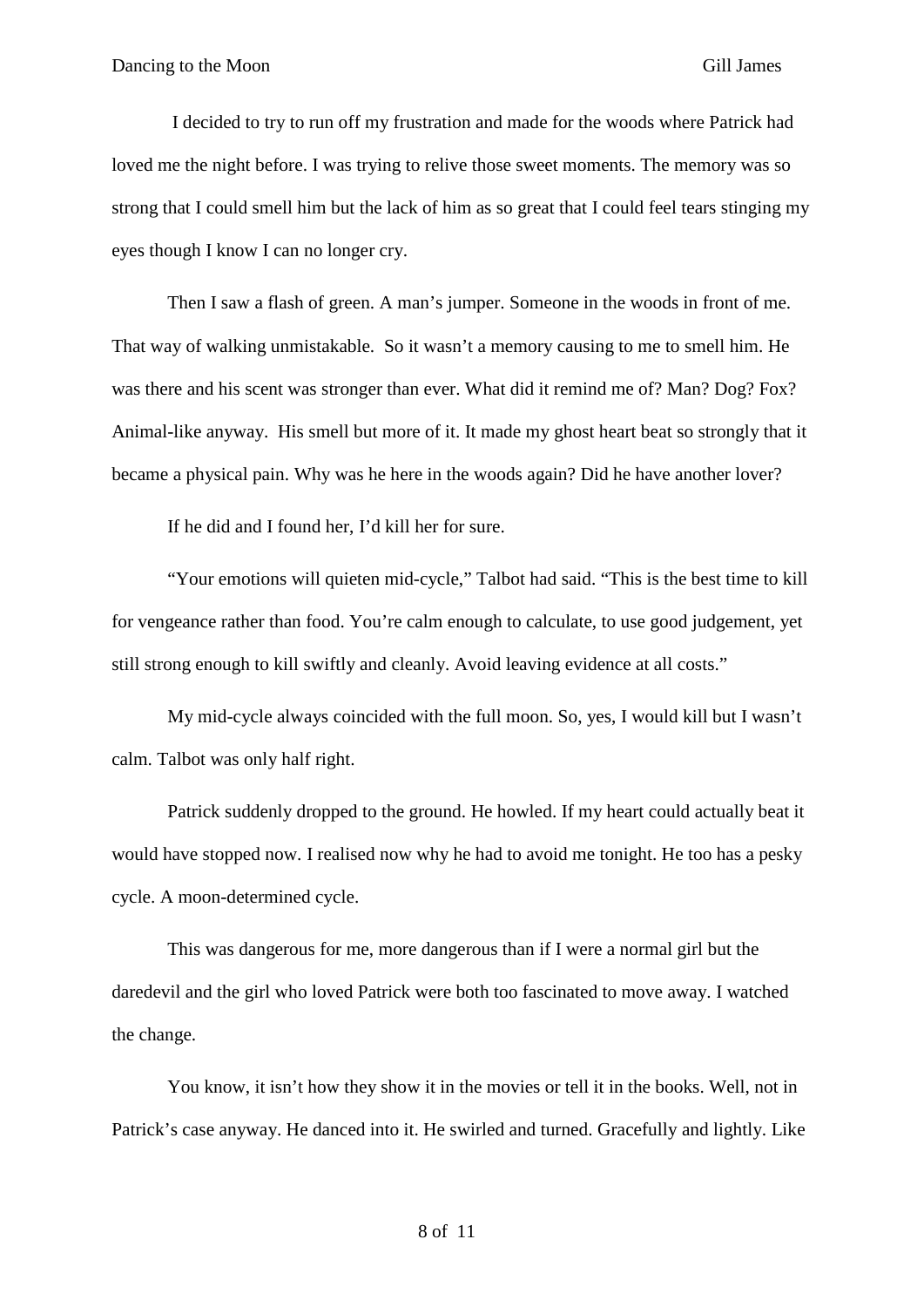I decided to try to run off my frustration and made for the woods where Patrick had loved me the night before. I was trying to relive those sweet moments. The memory was so strong that I could smell him but the lack of him as so great that I could feel tears stinging my eyes though I know I can no longer cry.

Then I saw a flash of green. A man's jumper. Someone in the woods in front of me. That way of walking unmistakable. So it wasn't a memory causing to me to smell him. He was there and his scent was stronger than ever. What did it remind me of? Man? Dog? Fox? Animal-like anyway. His smell but more of it. It made my ghost heart beat so strongly that it became a physical pain. Why was he here in the woods again? Did he have another lover?

If he did and I found her, I'd kill her for sure.

"Your emotions will quieten mid-cycle," Talbot had said. "This is the best time to kill for vengeance rather than food. You're calm enough to calculate, to use good judgement, yet still strong enough to kill swiftly and cleanly. Avoid leaving evidence at all costs."

My mid-cycle always coincided with the full moon. So, yes, I would kill but I wasn't calm. Talbot was only half right.

Patrick suddenly dropped to the ground. He howled. If my heart could actually beat it would have stopped now. I realised now why he had to avoid me tonight. He too has a pesky cycle. A moon-determined cycle.

This was dangerous for me, more dangerous than if I were a normal girl but the daredevil and the girl who loved Patrick were both too fascinated to move away. I watched the change.

You know, it isn't how they show it in the movies or tell it in the books. Well, not in Patrick's case anyway. He danced into it. He swirled and turned. Gracefully and lightly. Like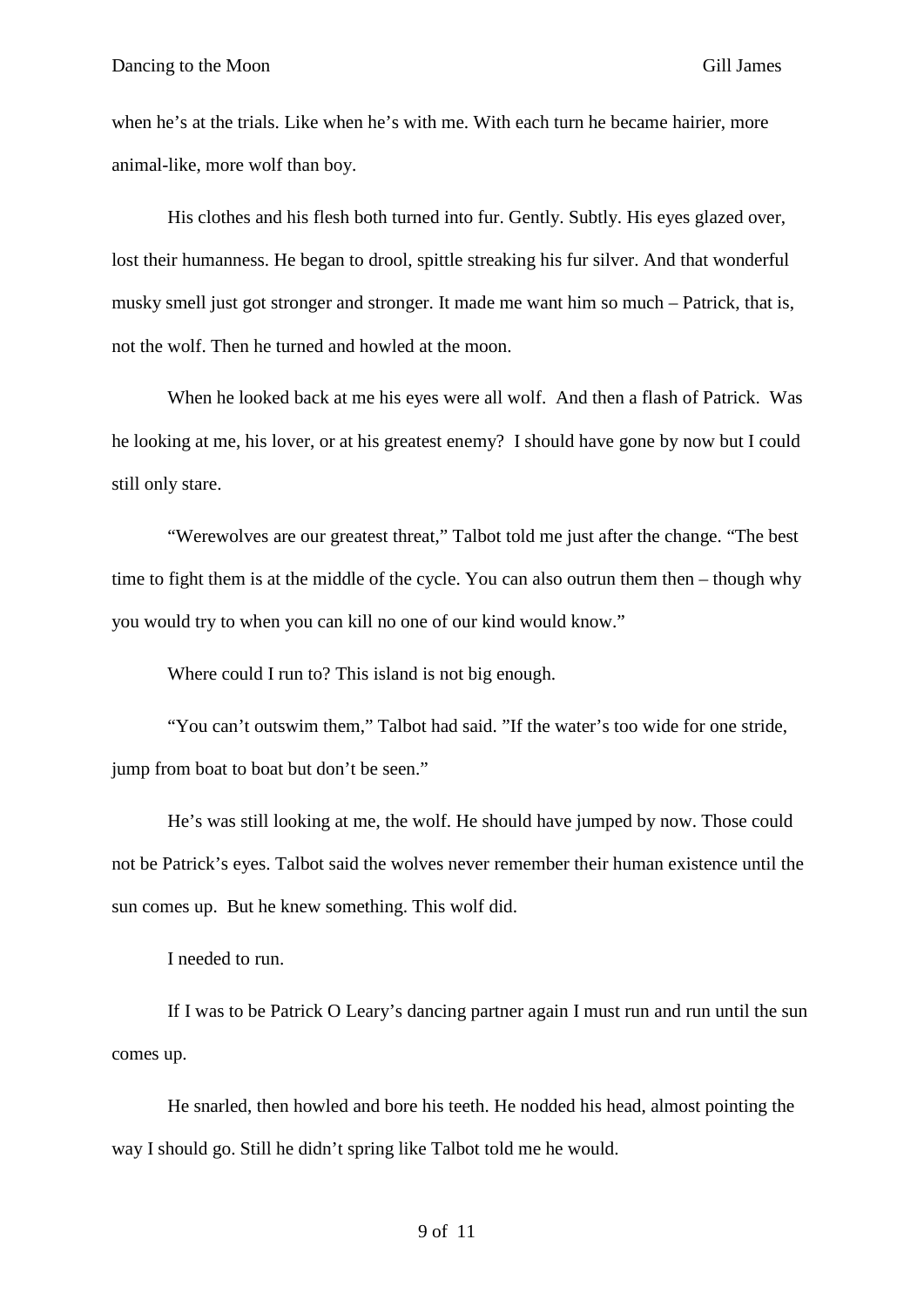when he's at the trials. Like when he's with me. With each turn he became hairier, more animal-like, more wolf than boy.

His clothes and his flesh both turned into fur. Gently. Subtly. His eyes glazed over, lost their humanness. He began to drool, spittle streaking his fur silver. And that wonderful musky smell just got stronger and stronger. It made me want him so much – Patrick, that is, not the wolf. Then he turned and howled at the moon.

When he looked back at me his eyes were all wolf. And then a flash of Patrick. Was he looking at me, his lover, or at his greatest enemy? I should have gone by now but I could still only stare.

"Werewolves are our greatest threat," Talbot told me just after the change. "The best time to fight them is at the middle of the cycle. You can also outrun them then – though why you would try to when you can kill no one of our kind would know."

Where could I run to? This island is not big enough.

"You can't outswim them," Talbot had said. "If the water's too wide for one stride, jump from boat to boat but don't be seen."

He's was still looking at me, the wolf. He should have jumped by now. Those could not be Patrick's eyes. Talbot said the wolves never remember their human existence until the sun comes up. But he knew something. This wolf did.

I needed to run.

If I was to be Patrick O Leary's dancing partner again I must run and run until the sun comes up.

He snarled, then howled and bore his teeth. He nodded his head, almost pointing the way I should go. Still he didn't spring like Talbot told me he would.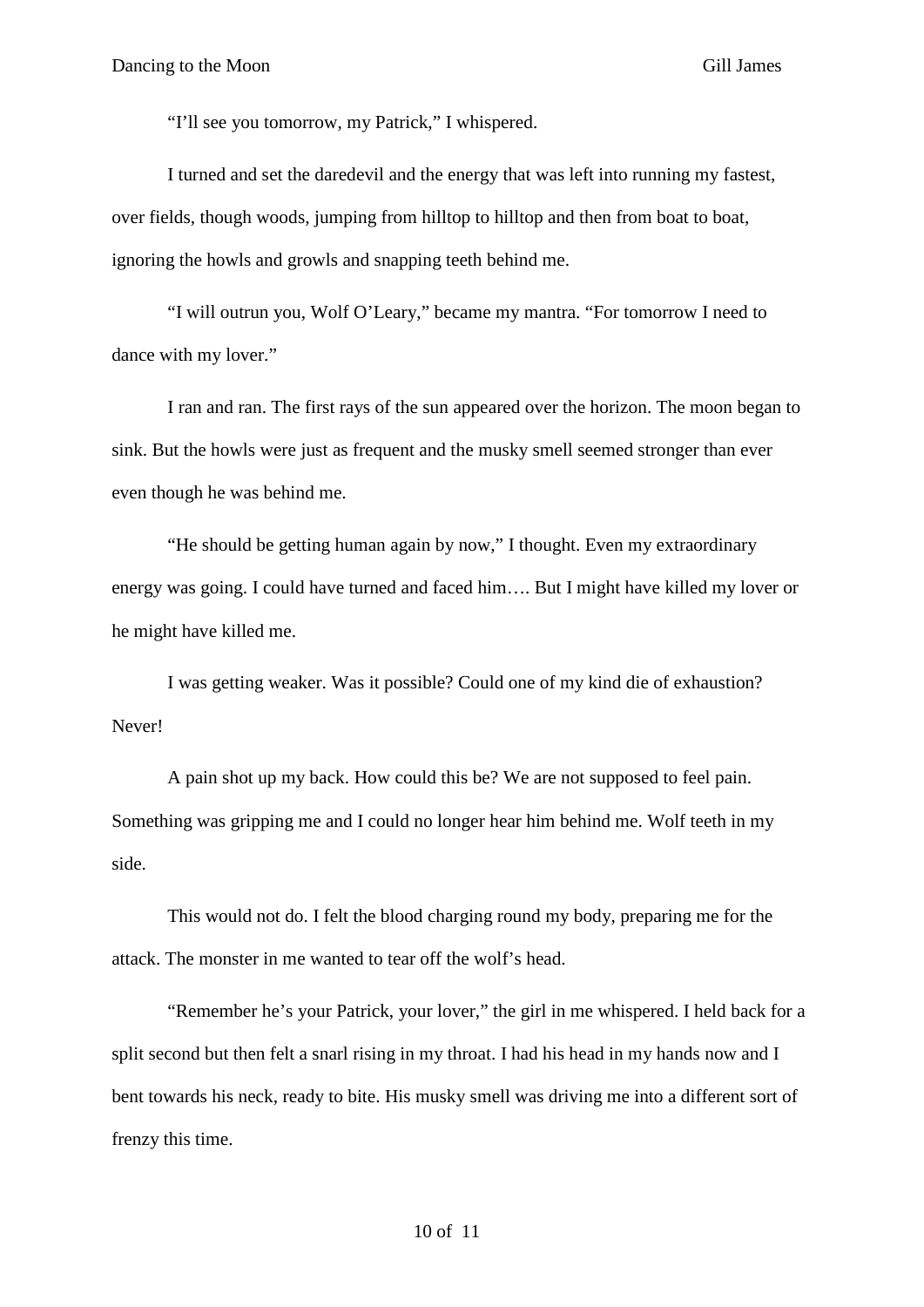"I'll see you tomorrow, my Patrick," I whispered.

I turned and set the daredevil and the energy that was left into running my fastest, over fields, though woods, jumping from hilltop to hilltop and then from boat to boat, ignoring the howls and growls and snapping teeth behind me.

"I will outrun you, Wolf O'Leary," became my mantra. "For tomorrow I need to dance with my lover."

I ran and ran. The first rays of the sun appeared over the horizon. The moon began to sink. But the howls were just as frequent and the musky smell seemed stronger than ever even though he was behind me.

"He should be getting human again by now," I thought. Even my extraordinary energy was going. I could have turned and faced him…. But I might have killed my lover or he might have killed me.

I was getting weaker. Was it possible? Could one of my kind die of exhaustion? Never!

A pain shot up my back. How could this be? We are not supposed to feel pain. Something was gripping me and I could no longer hear him behind me. Wolf teeth in my side.

This would not do. I felt the blood charging round my body, preparing me for the attack. The monster in me wanted to tear off the wolf's head.

"Remember he's your Patrick, your lover," the girl in me whispered. I held back for a split second but then felt a snarl rising in my throat. I had his head in my hands now and I bent towards his neck, ready to bite. His musky smell was driving me into a different sort of frenzy this time.